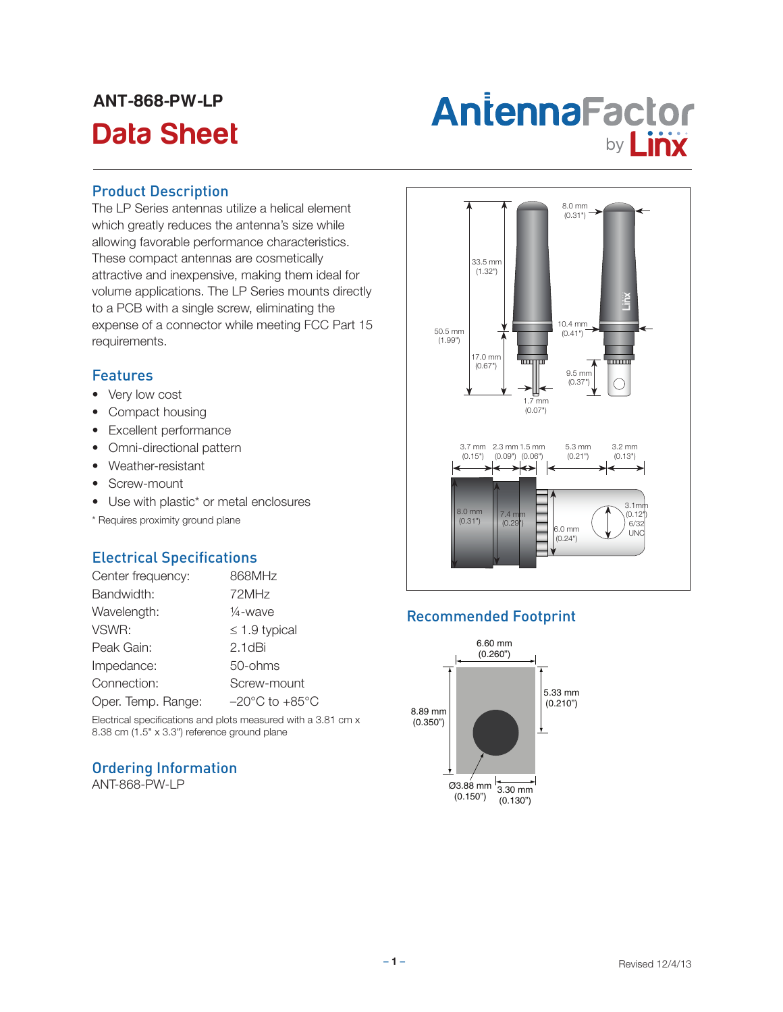# ANT-868-PW-LP

# Antenna Factor<br>Data Sheet **by Linx**

# Product Description

The LP Series antennas utilize a helical element which greatly reduces the antenna's size while allowing favorable performance characteristics. These compact antennas are cosmetically attractive and inexpensive, making them ideal for volume applications. The LP Series mounts directly to a PCB with a single screw, eliminating the expense of a connector while meeting FCC Part 15 requirements.

## Features

- Very low cost
- Compact housing
- Excellent performance
- Omni-directional pattern
- • Weather-resistant
- Screw-mount
- Use with plastic\* or metal enclosures
- \* Requires proximity ground plane

# Electrical Specifications

| Center frequency:  | 868MHz                             |
|--------------------|------------------------------------|
| Bandwidth:         | 72MHz                              |
| Wavelength:        | 1/ <sub>4</sub> -wave              |
| VSWR:              | $\leq$ 1.9 typical                 |
| Peak Gain:         | $2.1$ d $Bi$                       |
| Impedance:         | 50-ohms                            |
| Connection:        | Screw-mount                        |
| Oper. Temp. Range: | $-20^{\circ}$ C to $+85^{\circ}$ C |

Electrical specifications and plots measured with a 3.81 cm x 8.38 cm (1.5" x 3.3") reference ground plane

# Ordering Information

ANT-868-PW-LP



# Recommended Footprint